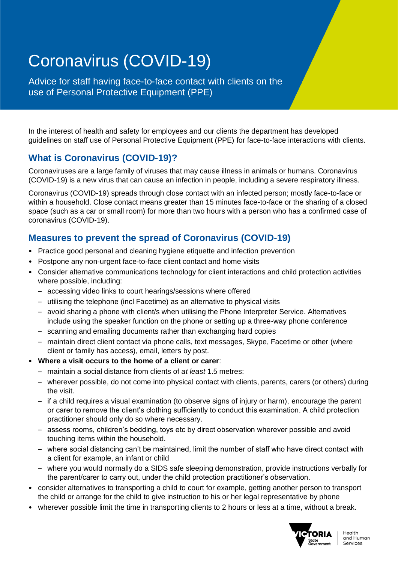# Coronavirus (COVID-19)

Advice for staff having face-to-face contact with clients on the use of Personal Protective Equipment (PPE)

In the interest of health and safety for employees and our clients the department has developed guidelines on staff use of Personal Protective Equipment (PPE) for face-to-face interactions with clients.

# **What is Coronavirus (COVID-19)?**

Coronaviruses are a large family of viruses that may cause illness in animals or humans. Coronavirus (COVID-19) is a new virus that can cause an infection in people, including a severe respiratory illness.

Coronavirus (COVID-19) spreads through close contact with an infected person; mostly face-to-face or within a household. Close contact means greater than 15 minutes face-to-face or the sharing of a closed space (such as a car or small room) for more than two hours with a person who has a confirmed case of coronavirus (COVID-19).

# **Measures to prevent the spread of Coronavirus (COVID-19)**

- Practice good personal and cleaning hygiene etiquette and infection prevention
- Postpone any non-urgent face-to-face client contact and home visits
- Consider alternative communications technology for client interactions and child protection activities where possible, including:
	- accessing video links to court hearings/sessions where offered
	- utilising the telephone (incl Facetime) as an alternative to physical visits
	- avoid sharing a phone with client/s when utilising the Phone Interpreter Service. Alternatives include using the speaker function on the phone or setting up a three-way phone conference
	- scanning and emailing documents rather than exchanging hard copies
	- maintain direct client contact via phone calls, text messages, Skype, Facetime or other (where client or family has access), email, letters by post.
- **Where a visit occurs to the home of a client or carer**:
	- maintain a social distance from clients of *at least* 1.5 metres:
	- wherever possible, do not come into physical contact with clients, parents, carers (or others) during the visit.
	- if a child requires a visual examination (to observe signs of injury or harm), encourage the parent or carer to remove the client's clothing sufficiently to conduct this examination. A child protection practitioner should only do so where necessary.
	- assess rooms, children's bedding, toys etc by direct observation wherever possible and avoid touching items within the household.
	- where social distancing can't be maintained, limit the number of staff who have direct contact with a client for example, an infant or child
	- where you would normally do a SIDS safe sleeping demonstration, provide instructions verbally for the parent/carer to carry out, under the child protection practitioner's observation.
- consider alternatives to transporting a child to court for example, getting another person to transport the child or arrange for the child to give instruction to his or her legal representative by phone
- wherever possible limit the time in transporting clients to 2 hours or less at a time, without a break.

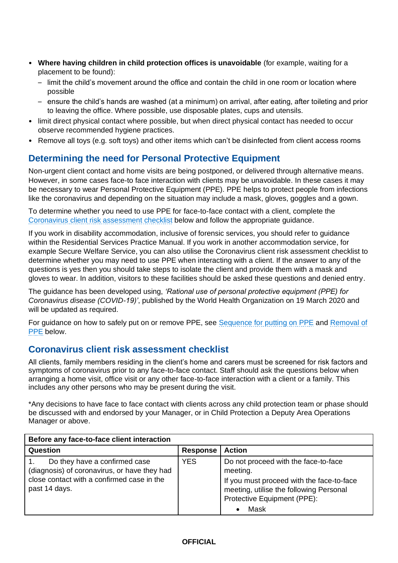- **Where having children in child protection offices is unavoidable** (for example, waiting for a placement to be found):
	- limit the child's movement around the office and contain the child in one room or location where possible
	- ensure the child's hands are washed (at a minimum) on arrival, after eating, after toileting and prior to leaving the office. Where possible, use disposable plates, cups and utensils.
- limit direct physical contact where possible, but when direct physical contact has needed to occur observe recommended hygiene practices.
- Remove all toys (e.g. soft toys) and other items which can't be disinfected from client access rooms

## **Determining the need for Personal Protective Equipment**

Non-urgent client contact and home visits are being postponed, or delivered through alternative means. However, in some cases face-to face interaction with clients may be unavoidable. In these cases it may be necessary to wear Personal Protective Equipment (PPE). PPE helps to protect people from infections like the coronavirus and depending on the situation may include a mask, gloves, goggles and a gown.

To determine whether you need to use PPE for face-to-face contact with a client, complete the [Coronavirus client risk assessment checklist](#page-1-0) below and follow the appropriate guidance.

If you work in disability accommodation, inclusive of forensic services, you should refer to guidance within the Residential Services Practice Manual. If you work in another accommodation service, for example Secure Welfare Service, you can also utilise the Coronavirus client risk assessment checklist to determine whether you may need to use PPE when interacting with a client. If the answer to any of the questions is yes then you should take steps to isolate the client and provide them with a mask and gloves to wear. In addition, visitors to these facilities should be asked these questions and denied entry.

The guidance has been developed using, *'Rational use of personal protective equipment (PPE) for Coronavirus disease (COVID-19)'*, published by the World Health Organization on 19 March 2020 and will be updated as required.

For guidance on how to safely put on or remove PPE, see [Sequence for putting on PPE](#page-4-0) and Removal of [PPE](#page-4-1) below.

### <span id="page-1-0"></span>**Coronavirus client risk assessment checklist**

All clients, family members residing in the client's home and carers must be screened for risk factors and symptoms of coronavirus prior to any face-to-face contact. Staff should ask the questions below when arranging a home visit, office visit or any other face-to-face interaction with a client or a family. This includes any other persons who may be present during the visit.

\*Any decisions to have face to face contact with clients across any child protection team or phase should be discussed with and endorsed by your Manager, or in Child Protection a Deputy Area Operations Manager or above.

| Before any face-to-face client interaction                                                                                                   |            |                                                                                                                                                                                 |  |
|----------------------------------------------------------------------------------------------------------------------------------------------|------------|---------------------------------------------------------------------------------------------------------------------------------------------------------------------------------|--|
| Question                                                                                                                                     | Response   | <b>Action</b>                                                                                                                                                                   |  |
| Do they have a confirmed case<br>(diagnosis) of coronavirus, or have they had<br>close contact with a confirmed case in the<br>past 14 days. | <b>YES</b> | Do not proceed with the face-to-face<br>meeting.<br>If you must proceed with the face-to-face<br>meeting, utilise the following Personal<br>Protective Equipment (PPE):<br>Mask |  |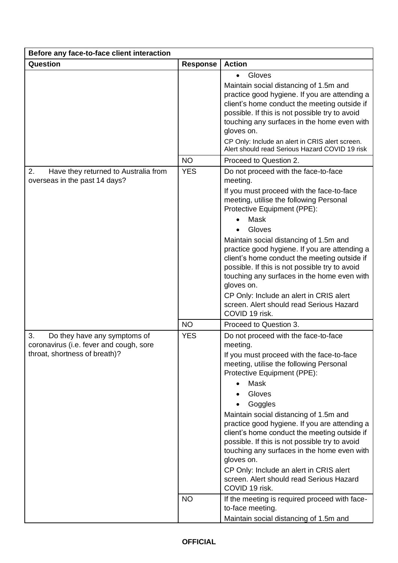| Before any face-to-face client interaction                                                                     |                 |                                                                                                                                                                                                                                                                                                                                                                                                                                                                                                                                                                                      |  |  |
|----------------------------------------------------------------------------------------------------------------|-----------------|--------------------------------------------------------------------------------------------------------------------------------------------------------------------------------------------------------------------------------------------------------------------------------------------------------------------------------------------------------------------------------------------------------------------------------------------------------------------------------------------------------------------------------------------------------------------------------------|--|--|
| Question                                                                                                       | <b>Response</b> | <b>Action</b>                                                                                                                                                                                                                                                                                                                                                                                                                                                                                                                                                                        |  |  |
|                                                                                                                |                 | Gloves<br>$\bullet$<br>Maintain social distancing of 1.5m and                                                                                                                                                                                                                                                                                                                                                                                                                                                                                                                        |  |  |
|                                                                                                                |                 | practice good hygiene. If you are attending a<br>client's home conduct the meeting outside if<br>possible. If this is not possible try to avoid<br>touching any surfaces in the home even with<br>gloves on.<br>CP Only: Include an alert in CRIS alert screen.                                                                                                                                                                                                                                                                                                                      |  |  |
|                                                                                                                |                 | Alert should read Serious Hazard COVID 19 risk                                                                                                                                                                                                                                                                                                                                                                                                                                                                                                                                       |  |  |
|                                                                                                                | <b>NO</b>       | Proceed to Question 2.                                                                                                                                                                                                                                                                                                                                                                                                                                                                                                                                                               |  |  |
| 2.<br>Have they returned to Australia from<br>overseas in the past 14 days?                                    | <b>YES</b>      | Do not proceed with the face-to-face<br>meeting.<br>If you must proceed with the face-to-face<br>meeting, utilise the following Personal<br>Protective Equipment (PPE):<br>Mask<br>Gloves<br>Maintain social distancing of 1.5m and<br>practice good hygiene. If you are attending a<br>client's home conduct the meeting outside if<br>possible. If this is not possible try to avoid<br>touching any surfaces in the home even with<br>gloves on.<br>CP Only: Include an alert in CRIS alert<br>screen. Alert should read Serious Hazard<br>COVID 19 risk.                         |  |  |
|                                                                                                                | <b>NO</b>       | Proceed to Question 3.                                                                                                                                                                                                                                                                                                                                                                                                                                                                                                                                                               |  |  |
| 3.<br>Do they have any symptoms of<br>coronavirus (i.e. fever and cough, sore<br>throat, shortness of breath)? | <b>YES</b>      | Do not proceed with the face-to-face<br>meeting.<br>If you must proceed with the face-to-face<br>meeting, utilise the following Personal<br>Protective Equipment (PPE):<br>Mask<br>$\bullet$<br>Gloves<br>Goggles<br>Maintain social distancing of 1.5m and<br>practice good hygiene. If you are attending a<br>client's home conduct the meeting outside if<br>possible. If this is not possible try to avoid<br>touching any surfaces in the home even with<br>gloves on.<br>CP Only: Include an alert in CRIS alert<br>screen. Alert should read Serious Hazard<br>COVID 19 risk. |  |  |
|                                                                                                                | <b>NO</b>       | If the meeting is required proceed with face-<br>to-face meeting.<br>Maintain social distancing of 1.5m and                                                                                                                                                                                                                                                                                                                                                                                                                                                                          |  |  |

## **OFFICIAL**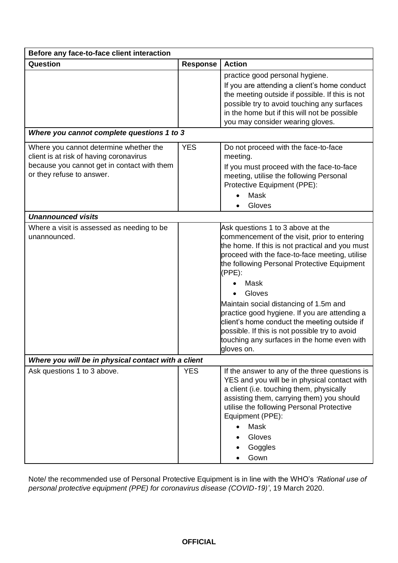| Before any face-to-face client interaction                                                                                                                    |                 |                                                                                                                                                                                                                                                                                                                                                                                                                                                                                                                                |  |  |
|---------------------------------------------------------------------------------------------------------------------------------------------------------------|-----------------|--------------------------------------------------------------------------------------------------------------------------------------------------------------------------------------------------------------------------------------------------------------------------------------------------------------------------------------------------------------------------------------------------------------------------------------------------------------------------------------------------------------------------------|--|--|
| Question                                                                                                                                                      | <b>Response</b> | <b>Action</b>                                                                                                                                                                                                                                                                                                                                                                                                                                                                                                                  |  |  |
|                                                                                                                                                               |                 | practice good personal hygiene.<br>If you are attending a client's home conduct<br>the meeting outside if possible. If this is not<br>possible try to avoid touching any surfaces<br>in the home but if this will not be possible<br>you may consider wearing gloves.                                                                                                                                                                                                                                                          |  |  |
| Where you cannot complete questions 1 to 3                                                                                                                    |                 |                                                                                                                                                                                                                                                                                                                                                                                                                                                                                                                                |  |  |
| Where you cannot determine whether the<br>client is at risk of having coronavirus<br>because you cannot get in contact with them<br>or they refuse to answer. | <b>YES</b>      | Do not proceed with the face-to-face<br>meeting.<br>If you must proceed with the face-to-face<br>meeting, utilise the following Personal<br>Protective Equipment (PPE):<br>Mask<br>Gloves                                                                                                                                                                                                                                                                                                                                      |  |  |
| <b>Unannounced visits</b>                                                                                                                                     |                 |                                                                                                                                                                                                                                                                                                                                                                                                                                                                                                                                |  |  |
| Where a visit is assessed as needing to be<br>unannounced.                                                                                                    |                 | Ask questions 1 to 3 above at the<br>commencement of the visit, prior to entering<br>the home. If this is not practical and you must<br>proceed with the face-to-face meeting, utilise<br>the following Personal Protective Equipment<br>$(PPE)$ :<br>Mask<br>Gloves<br>Maintain social distancing of 1.5m and<br>practice good hygiene. If you are attending a<br>client's home conduct the meeting outside if<br>possible. If this is not possible try to avoid<br>touching any surfaces in the home even with<br>gloves on. |  |  |
| Where you will be in physical contact with a client                                                                                                           |                 |                                                                                                                                                                                                                                                                                                                                                                                                                                                                                                                                |  |  |
| Ask questions 1 to 3 above.                                                                                                                                   | <b>YES</b>      | If the answer to any of the three questions is<br>YES and you will be in physical contact with<br>a client (i.e. touching them, physically<br>assisting them, carrying them) you should<br>utilise the following Personal Protective<br>Equipment (PPE):<br>Mask<br>$\bullet$<br>Gloves<br>Goggles<br>Gown                                                                                                                                                                                                                     |  |  |

Note/ the recommended use of Personal Protective Equipment is in line with the WHO's *'Rational use of personal protective equipment (PPE) for coronavirus disease (COVID-19)'*, 19 March 2020.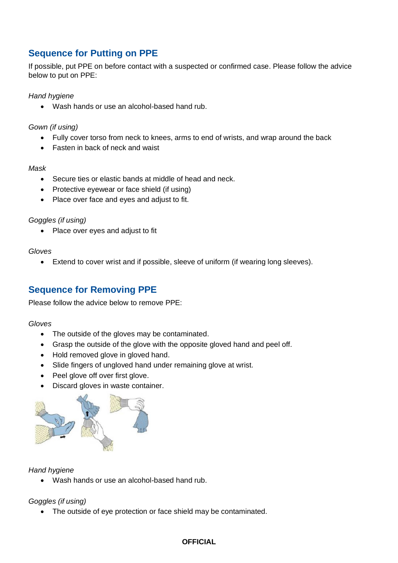## <span id="page-4-0"></span>**Sequence for Putting on PPE**

If possible, put PPE on before contact with a suspected or confirmed case. Please follow the advice below to put on PPE:

*Hand hygiene*

• Wash hands or use an alcohol-based hand rub.

*Gown (if using)*

- Fully cover torso from neck to knees, arms to end of wrists, and wrap around the back
- Fasten in back of neck and waist

#### *Mask*

- Secure ties or elastic bands at middle of head and neck.
- Protective eyewear or face shield (if using)
- Place over face and eyes and adjust to fit.

#### *Goggles (if using)*

• Place over eyes and adjust to fit

#### *Gloves*

• Extend to cover wrist and if possible, sleeve of uniform (if wearing long sleeves).

## <span id="page-4-1"></span>**Sequence for Removing PPE**

Please follow the advice below to remove PPE:

#### *Gloves*

- The outside of the gloves may be contaminated.
- Grasp the outside of the glove with the opposite gloved hand and peel off.
- Hold removed glove in gloved hand.
- Slide fingers of ungloved hand under remaining glove at wrist.
- Peel glove off over first glove.
- Discard gloves in waste container.



#### *Hand hygiene*

• Wash hands or use an alcohol-based hand rub.

#### *Goggles (if using)*

• The outside of eye protection or face shield may be contaminated.

#### **OFFICIAL**